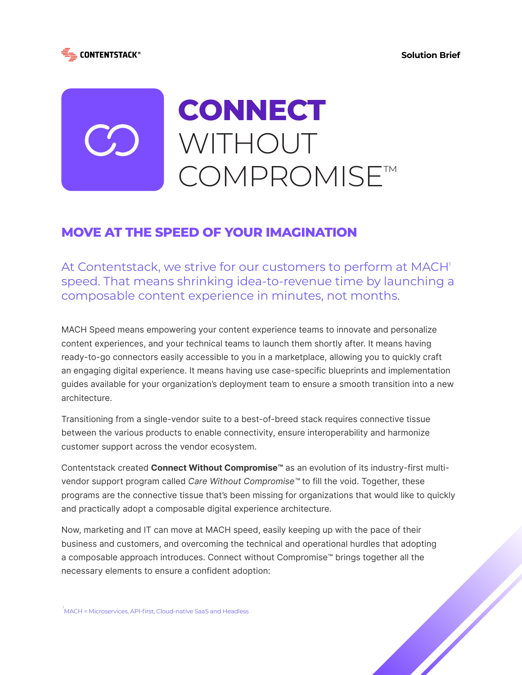



# **MOVE AT THE SPEED OF YOUR IMAGINATION**

At Contentstack, we strive for our customers to perform at MACH<sup>1</sup> speed. That means shrinking idea-to-revenue time by launching a composable content experience in minutes, not months.

MACH Speed means empowering your content experience teams to innovate and personalize content experiences, and your technical teams to launch them shortly after. It means having ready-to-go connectors easily accessible to you in a marketplace, allowing you to quickly craft an engaging digital experience. It means having use case-specific blueprints and implementation guides available for your organization's deployment team to ensure a smooth transition into a new architecture.

Transitioning from a single-vendor suite to a best-of-breed stack requires connective tissue between the various products to enable connectivity, ensure interoperability and harmonize customer support across the vendor ecosystem.

Contentstack created **Connect Without Compromise™** as an evolution of its industry-first multivendor support program called *Care Without Compromise™* to fill the void. Together, these programs are the connective tissue that's been missing for organizations that would like to quickly and practically adopt a composable digital experience architecture.

Now, marketing and IT can move at MACH speed, easily keeping up with the pace of their business and customers, and overcoming the technical and operational hurdles that adopting a composable approach introduces. Connect without Compromise™ brings together all the necessary elements to ensure a confident adoption: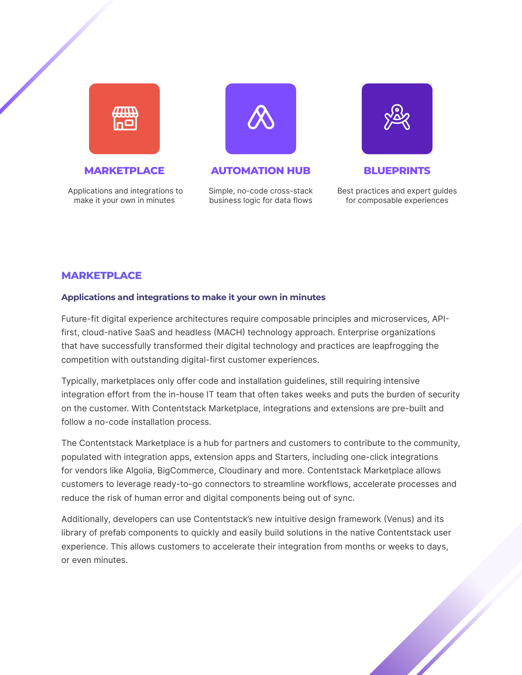

 Applications and integrations to make it your own in minutes



**MARKETPLACE AUTOMATION HUB BLUEPRINTS**

Simple, no-code cross-stack business logic for data flows



Best practices and expert guides for composable experiences

### **MARKETPLACE**

### **Applications and integrations to make it your own in minutes**

Future-fit digital experience architectures require composable principles and microservices, APIfirst, cloud-native SaaS and headless (MACH) technology approach. Enterprise organizations that have successfully transformed their digital technology and practices are leapfrogging the competition with outstanding digital-first customer experiences.

Typically, marketplaces only offer code and installation guidelines, still requiring intensive integration effort from the in-house IT team that often takes weeks and puts the burden of security on the customer. With Contentstack Marketplace, integrations and extensions are pre-built and follow a no-code installation process.

The Contentstack Marketplace is a hub for partners and customers to contribute to the community, populated with integration apps, extension apps and Starters, including one-click integrations for vendors like Algolia, BigCommerce, Cloudinary and more. Contentstack Marketplace allows customers to leverage ready-to-go connectors to streamline workflows, accelerate processes and reduce the risk of human error and digital components being out of sync.

Additionally, developers can use Contentstack's new intuitive design framework (Venus) and its library of prefab components to quickly and easily build solutions in the native Contentstack user experience. This allows customers to accelerate their integration from months or weeks to days, or even minutes.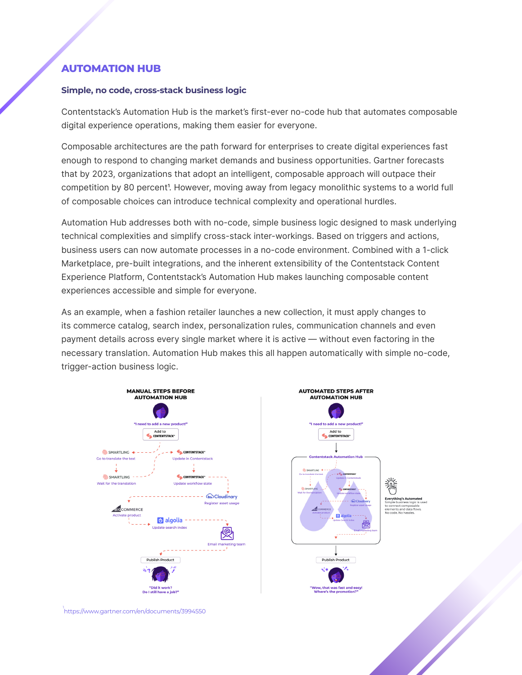## **AUTOMATION HUB**

#### **Simple, no code, cross-stack business logic**

Contentstack's Automation Hub is the market's first-ever no-code hub that automates composable digital experience operations, making them easier for everyone.

Composable architectures are the path forward for enterprises to create digital experiences fast enough to respond to changing market demands and business opportunities. Gartner forecasts that by 2023, organizations that adopt an intelligent, composable approach will outpace their competition by 80 percent<sup>1</sup>. However, moving away from legacy monolithic systems to a world full of composable choices can introduce technical complexity and operational hurdles.

Automation Hub addresses both with no-code, simple business logic designed to mask underlying technical complexities and simplify cross-stack inter-workings. Based on triggers and actions, business users can now automate processes in a no-code environment. Combined with a 1-click Marketplace, pre-built integrations, and the inherent extensibility of the Contentstack Content Experience Platform, Contentstack's Automation Hub makes launching composable content experiences accessible and simple for everyone.

As an example, when a fashion retailer launches a new collection, it must apply changes to its commerce catalog, search index, personalization rules, communication channels and even payment details across every single market where it is active — without even factoring in the necessary translation. Automation Hub makes this all happen automatically with simple no-code, trigger-action business logic.





<sub>1</sub><br>https://www.gartner.com/en/documents/3994550